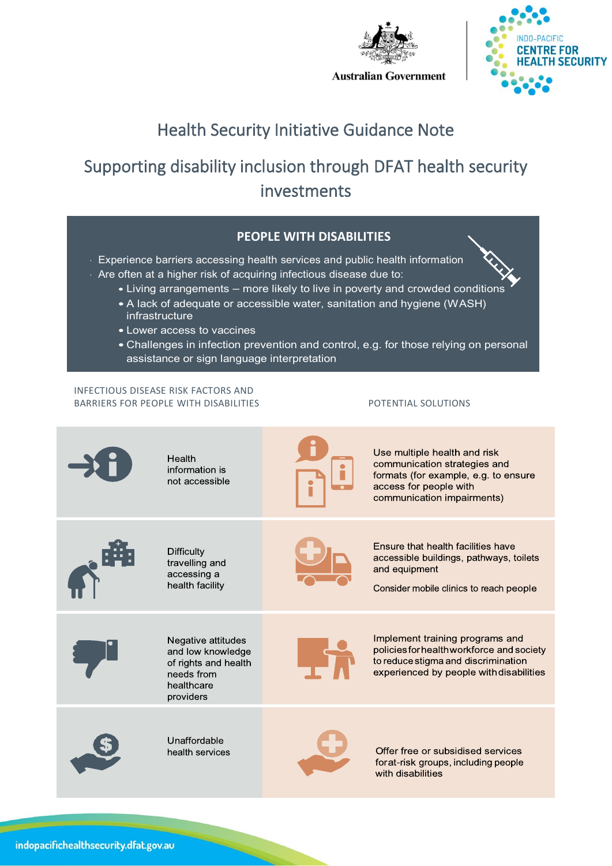



# Health Security Initiative Guidance Note

# Supporting disability inclusion through DFAT health security investments



- Experience barriers accessing health services and public health information
- Are often at a higher risk of acquiring infectious disease due to:
	- Living arrangements more likely to live in poverty and crowded conditions
	- A lack of adequate or accessible water, sanitation and hygiene (WASH) infrastructure
	- Lower access to vaccines
	- Challenges in infection prevention and control, e.g. for those relying on personal assistance or sign language interpretation

### INFECTIOUS DISEASE RISK FACTORS AND BARRIERS FOR PEOPLE WITH DISABILITIES POTENTIAL SOLUTIONS

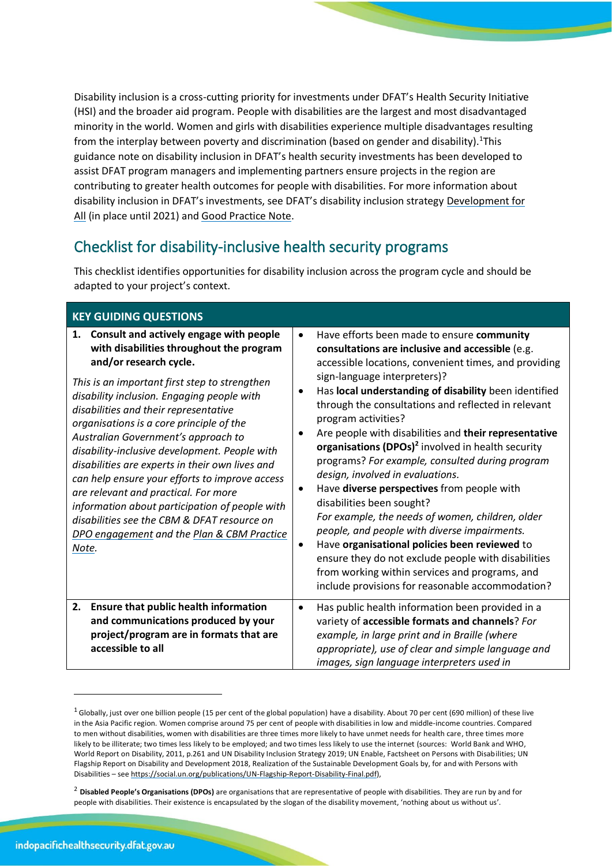Disability inclusion is a cross-cutting priority for investments under DFAT's Health Security Initiative (HSI) and the broader aid program. People with disabilities are the largest and most disadvantaged minority in the world. Women and girls with disabilities experience multiple disadvantages resulting from the interplay between poverty and discrimination (based on gender and disability).<sup>1</sup>This guidance note on disability inclusion in DFAT's health security investments has been developed to assist DFAT program managers and implementing partners ensure projects in the region are contributing to greater health outcomes for people with disabilities. For more information about disability inclusion in DFAT's investments, see DFAT's disability inclusion strategy [Development for](https://www.dfat.gov.au/sites/default/files/development-for-all-2015-2020.pdf)  [All](https://www.dfat.gov.au/sites/default/files/development-for-all-2015-2020.pdf) (in place until 2021) and [Good Practice Note.](https://www.dfat.gov.au/sites/default/files/disability-inclusive-development-guidance-note.pdf)

## Checklist for disability-inclusive health security programs

This checklist identifies opportunities for disability inclusion across the program cycle and should be adapted to your project's context.

| <b>KEY GUIDING QUESTIONS</b>                                                                                                                                                                                                                                                                                                                                                                                                                                                                                                                                                                                                                                                                         |                                                                                                                                                                                                                                                                                                                                                                                                                                                                                                                                                                                                                                                                                                                                                                                                                                                                                                                                                                                  |
|------------------------------------------------------------------------------------------------------------------------------------------------------------------------------------------------------------------------------------------------------------------------------------------------------------------------------------------------------------------------------------------------------------------------------------------------------------------------------------------------------------------------------------------------------------------------------------------------------------------------------------------------------------------------------------------------------|----------------------------------------------------------------------------------------------------------------------------------------------------------------------------------------------------------------------------------------------------------------------------------------------------------------------------------------------------------------------------------------------------------------------------------------------------------------------------------------------------------------------------------------------------------------------------------------------------------------------------------------------------------------------------------------------------------------------------------------------------------------------------------------------------------------------------------------------------------------------------------------------------------------------------------------------------------------------------------|
| Consult and actively engage with people<br>1.<br>with disabilities throughout the program<br>and/or research cycle.<br>This is an important first step to strengthen<br>disability inclusion. Engaging people with<br>disabilities and their representative<br>organisations is a core principle of the<br>Australian Government's approach to<br>disability-inclusive development. People with<br>disabilities are experts in their own lives and<br>can help ensure your efforts to improve access<br>are relevant and practical. For more<br>information about participation of people with<br>disabilities see the CBM & DFAT resource on<br>DPO engagement and the Plan & CBM Practice<br>Note. | Have efforts been made to ensure community<br>$\bullet$<br>consultations are inclusive and accessible (e.g.<br>accessible locations, convenient times, and providing<br>sign-language interpreters)?<br>Has local understanding of disability been identified<br>through the consultations and reflected in relevant<br>program activities?<br>Are people with disabilities and their representative<br>٠<br>organisations (DPOs) <sup>2</sup> involved in health security<br>programs? For example, consulted during program<br>design, involved in evaluations.<br>Have diverse perspectives from people with<br>٠<br>disabilities been sought?<br>For example, the needs of women, children, older<br>people, and people with diverse impairments.<br>Have organisational policies been reviewed to<br>$\bullet$<br>ensure they do not exclude people with disabilities<br>from working within services and programs, and<br>include provisions for reasonable accommodation? |
| <b>Ensure that public health information</b><br>2.<br>and communications produced by your<br>project/program are in formats that are<br>accessible to all                                                                                                                                                                                                                                                                                                                                                                                                                                                                                                                                            | Has public health information been provided in a<br>$\bullet$<br>variety of accessible formats and channels? For<br>example, in large print and in Braille (where<br>appropriate), use of clear and simple language and<br>images, sign language interpreters used in                                                                                                                                                                                                                                                                                                                                                                                                                                                                                                                                                                                                                                                                                                            |

 $1$  Globally, just over one billion people (15 per cent of the global population) have a disability. About 70 per cent (690 million) of these live in the Asia Pacific region. Women comprise around 75 per cent of people with disabilities in low and middle-income countries. Compared to men without disabilities, women with disabilities are three times more likely to have unmet needs for health care, three times more likely to be illiterate; two times less likely to be employed; and two times less likely to use the internet (sources: World Bank and WHO, World Report on Disability, 2011, p.261 and UN Disability Inclusion Strategy 2019; UN Enable, Factsheet on Persons with Disabilities; UN Flagship Report on Disability and Development 2018, Realization of the Sustainable Development Goals by, for and with Persons with Disabilities – se[e https://social.un.org/publications/UN-Flagship-Report-Disability-Final.pdf\)](https://social.un.org/publications/UN-Flagship-Report-Disability-Final.pdf),

<sup>&</sup>lt;sup>2</sup> Disabled People's Organisations (DPOs) are organisations that are representative of people with disabilities. They are run by and for people with disabilities. Their existence is encapsulated by the slogan of the disability movement, 'nothing about us without us'.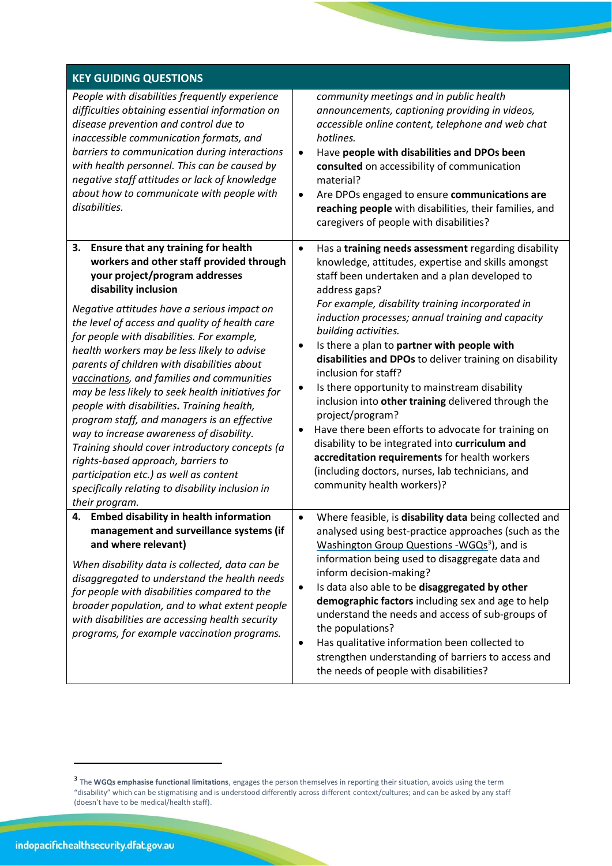| <b>KEY GUIDING QUESTIONS</b>                                                                                                                                                                                                                                                                                                                                                                                                                                                                                                                                                                                                                                                                                                                                                                                                   |                                                                                                                                                                                                                                                                                                                                                                                                                                                                                                                                                                                                                                                                                                                                                                                                                                              |
|--------------------------------------------------------------------------------------------------------------------------------------------------------------------------------------------------------------------------------------------------------------------------------------------------------------------------------------------------------------------------------------------------------------------------------------------------------------------------------------------------------------------------------------------------------------------------------------------------------------------------------------------------------------------------------------------------------------------------------------------------------------------------------------------------------------------------------|----------------------------------------------------------------------------------------------------------------------------------------------------------------------------------------------------------------------------------------------------------------------------------------------------------------------------------------------------------------------------------------------------------------------------------------------------------------------------------------------------------------------------------------------------------------------------------------------------------------------------------------------------------------------------------------------------------------------------------------------------------------------------------------------------------------------------------------------|
| People with disabilities frequently experience<br>difficulties obtaining essential information on<br>disease prevention and control due to<br>inaccessible communication formats, and<br>barriers to communication during interactions<br>with health personnel. This can be caused by<br>negative staff attitudes or lack of knowledge<br>about how to communicate with people with<br>disabilities.                                                                                                                                                                                                                                                                                                                                                                                                                          | community meetings and in public health<br>announcements, captioning providing in videos,<br>accessible online content, telephone and web chat<br>hotlines.<br>Have people with disabilities and DPOs been<br>$\bullet$<br>consulted on accessibility of communication<br>material?<br>Are DPOs engaged to ensure communications are<br>٠<br>reaching people with disabilities, their families, and<br>caregivers of people with disabilities?                                                                                                                                                                                                                                                                                                                                                                                               |
| Ensure that any training for health<br>3.<br>workers and other staff provided through<br>your project/program addresses<br>disability inclusion<br>Negative attitudes have a serious impact on<br>the level of access and quality of health care<br>for people with disabilities. For example,<br>health workers may be less likely to advise<br>parents of children with disabilities about<br>vaccinations, and families and communities<br>may be less likely to seek health initiatives for<br>people with disabilities. Training health,<br>program staff, and managers is an effective<br>way to increase awareness of disability.<br>Training should cover introductory concepts (a<br>rights-based approach, barriers to<br>participation etc.) as well as content<br>specifically relating to disability inclusion in | Has a training needs assessment regarding disability<br>٠<br>knowledge, attitudes, expertise and skills amongst<br>staff been undertaken and a plan developed to<br>address gaps?<br>For example, disability training incorporated in<br>induction processes; annual training and capacity<br>building activities.<br>Is there a plan to partner with people with<br>٠<br>disabilities and DPOs to deliver training on disability<br>inclusion for staff?<br>Is there opportunity to mainstream disability<br>٠<br>inclusion into other training delivered through the<br>project/program?<br>Have there been efforts to advocate for training on<br>٠<br>disability to be integrated into curriculum and<br>accreditation requirements for health workers<br>(including doctors, nurses, lab technicians, and<br>community health workers)? |
| their program.<br><b>Embed disability in health information</b><br>4.<br>management and surveillance systems (if<br>and where relevant)<br>When disability data is collected, data can be<br>disaggregated to understand the health needs<br>for people with disabilities compared to the<br>broader population, and to what extent people<br>with disabilities are accessing health security<br>programs, for example vaccination programs.                                                                                                                                                                                                                                                                                                                                                                                   | Where feasible, is disability data being collected and<br>$\bullet$<br>analysed using best-practice approaches (such as the<br><b>Washington Group Questions -WGQs<sup>3</sup>)</b> , and is<br>information being used to disaggregate data and<br>inform decision-making?<br>Is data also able to be disaggregated by other<br>$\bullet$<br>demographic factors including sex and age to help<br>understand the needs and access of sub-groups of<br>the populations?<br>Has qualitative information been collected to<br>$\bullet$<br>strengthen understanding of barriers to access and<br>the needs of people with disabilities?                                                                                                                                                                                                         |

<sup>3</sup> The **WGQs emphasise functional limitations**, engages the person themselves in reporting their situation, avoids using the term "disability" which can be stigmatising and is understood differently across different context/cultures; and can be asked by any staff (doesn't have to be medical/health staff).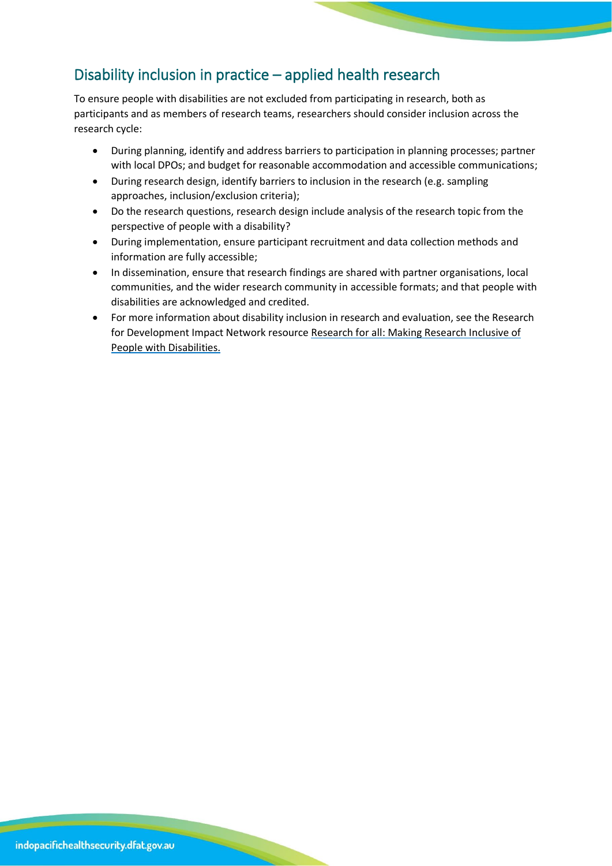### Disability inclusion in practice – applied health research

To ensure people with disabilities are not excluded from participating in research, both as participants and as members of research teams, researchers should consider inclusion across the research cycle:

- During planning, identify and address barriers to participation in planning processes; partner with local DPOs; and budget for reasonable accommodation and accessible communications;
- During research design, identify barriers to inclusion in the research (e.g. sampling approaches, inclusion/exclusion criteria);
- Do the research questions, research design include analysis of the research topic from the perspective of people with a disability?
- During implementation, ensure participant recruitment and data collection methods and information are fully accessible;
- In dissemination, ensure that research findings are shared with partner organisations, local communities, and the wider research community in accessible formats; and that people with disabilities are acknowledged and credited.
- For more information about disability inclusion in research and evaluation, see the Research for Development Impact Network resource [Research for all: Making Research Inclusive of](https://rdinetwork.org.au/resources/inclusive-research-and-evaluation/)  [People with Disabilities.](https://rdinetwork.org.au/resources/inclusive-research-and-evaluation/)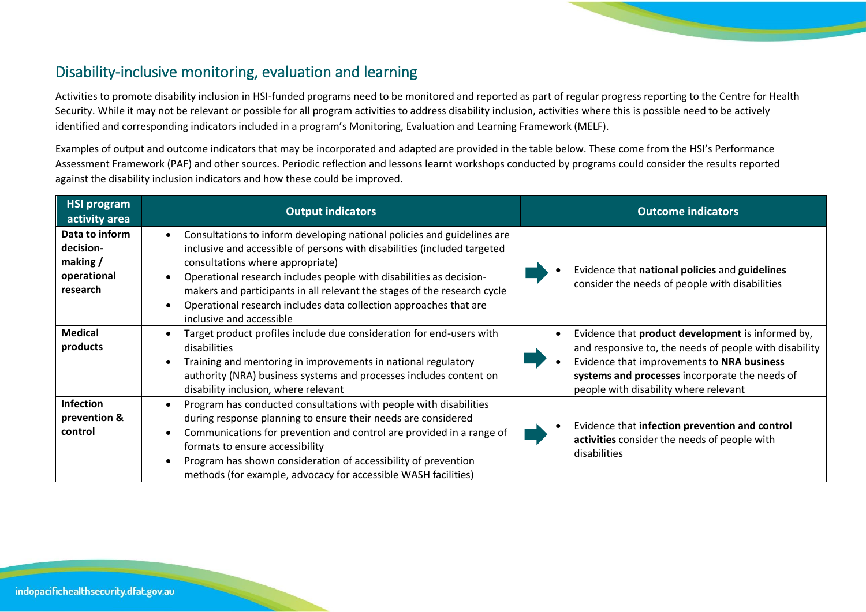### Disability-inclusive monitoring, evaluation and learning

Activities to promote disability inclusion in HSI-funded programs need to be monitored and reported as part of regular progress reporting to the Centre for Health Security. While it may not be relevant or possible for all program activities to address disability inclusion, activities where this is possible need to be actively identified and corresponding indicators included in a program's Monitoring, Evaluation and Learning Framework (MELF).

Examples of output and outcome indicators that may be incorporated and adapted are provided in the table below. These come from the HSI's Performance Assessment Framework (PAF) and other sources. Periodic reflection and lessons learnt workshops conducted by programs could consider the results reported against the disability inclusion indicators and how these could be improved.

| <b>HSI program</b><br>activity area                                  | <b>Output indicators</b>                                                                                                                                                                                                                                                                                                                                                                                                                    | <b>Outcome indicators</b>                                                                                                                                                                                                                            |
|----------------------------------------------------------------------|---------------------------------------------------------------------------------------------------------------------------------------------------------------------------------------------------------------------------------------------------------------------------------------------------------------------------------------------------------------------------------------------------------------------------------------------|------------------------------------------------------------------------------------------------------------------------------------------------------------------------------------------------------------------------------------------------------|
| Data to inform<br>decision-<br>making $/$<br>operational<br>research | Consultations to inform developing national policies and guidelines are<br>inclusive and accessible of persons with disabilities (included targeted<br>consultations where appropriate)<br>Operational research includes people with disabilities as decision-<br>makers and participants in all relevant the stages of the research cycle<br>Operational research includes data collection approaches that are<br>inclusive and accessible | Evidence that national policies and guidelines<br>consider the needs of people with disabilities                                                                                                                                                     |
| <b>Medical</b><br>products                                           | Target product profiles include due consideration for end-users with<br>disabilities<br>Training and mentoring in improvements in national regulatory<br>authority (NRA) business systems and processes includes content on<br>disability inclusion, where relevant                                                                                                                                                                         | Evidence that product development is informed by,<br>and responsive to, the needs of people with disability<br>Evidence that improvements to NRA business<br>systems and processes incorporate the needs of<br>people with disability where relevant |
| <b>Infection</b><br>prevention &<br>control                          | Program has conducted consultations with people with disabilities<br>during response planning to ensure their needs are considered<br>Communications for prevention and control are provided in a range of<br>formats to ensure accessibility<br>Program has shown consideration of accessibility of prevention<br>methods (for example, advocacy for accessible WASH facilities)                                                           | Evidence that infection prevention and control<br>activities consider the needs of people with<br>disabilities                                                                                                                                       |